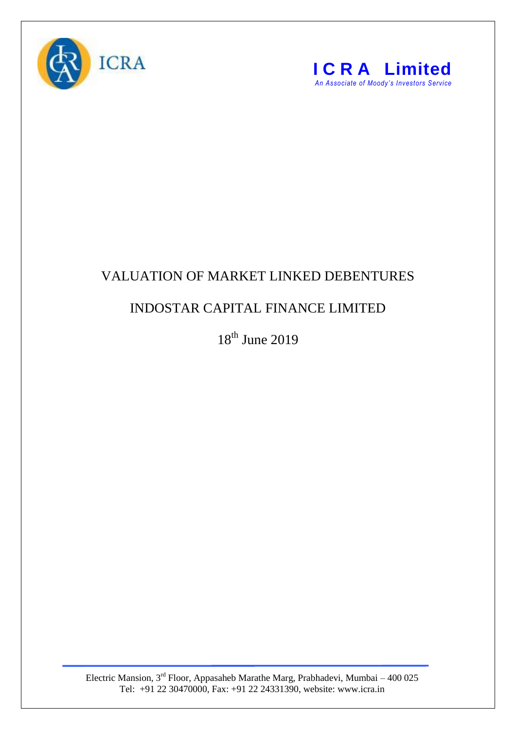



## VALUATION OF MARKET LINKED DEBENTURES

## INDOSTAR CAPITAL FINANCE LIMITED

18<sup>th</sup> June 2019

Electric Mansion,  $3<sup>rd</sup>$  Floor, Appasaheb Marathe Marg, Prabhadevi, Mumbai – 400 025 Tel: +91 22 30470000, Fax: +91 22 24331390, website: www.icra.in